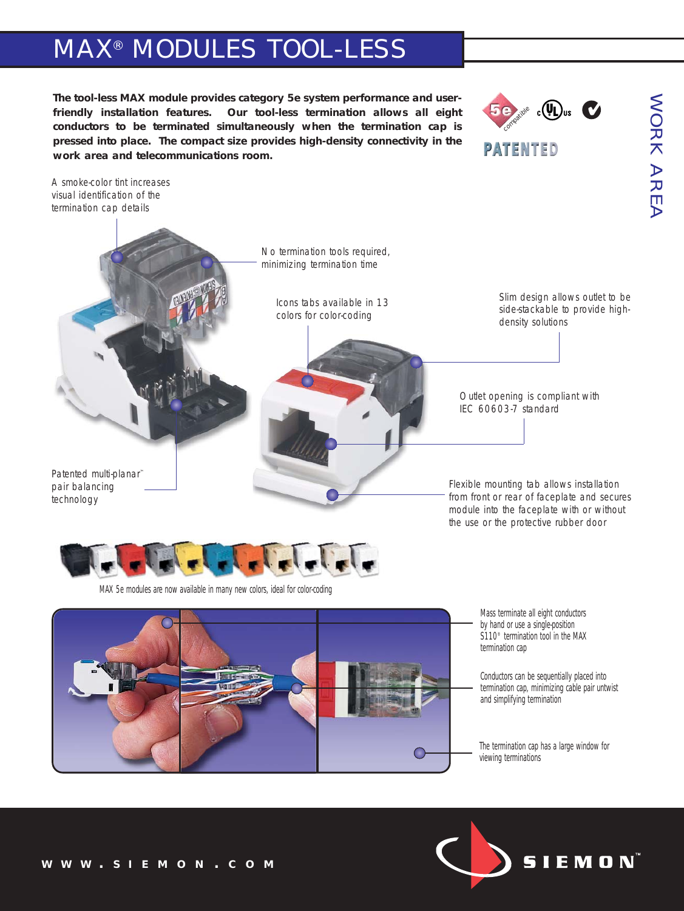# MAX® MODULES TOOL-LESS

**The tool-less MAX module provides category 5e system performance and userfriendly installation features. Our tool-less termination allows all eight conductors to be terminated simultaneously when the termination cap is pressed into place. The compact size provides high-density connectivity in the work area and telecommunications room.**



**PATENTED** 

A smoke-color tint increases visual identification of the termination cap details



*MAX 5e modules are now available in many new colors, ideal for color-coding*



*Mass terminate all eight conductors by hand or use a single-position S110® termination tool in the MAX termination cap*

*Conductors can be sequentially placed into termination cap, minimizing cable pair untwist and simplifying termination*

*The termination cap has a large window for viewing terminations*